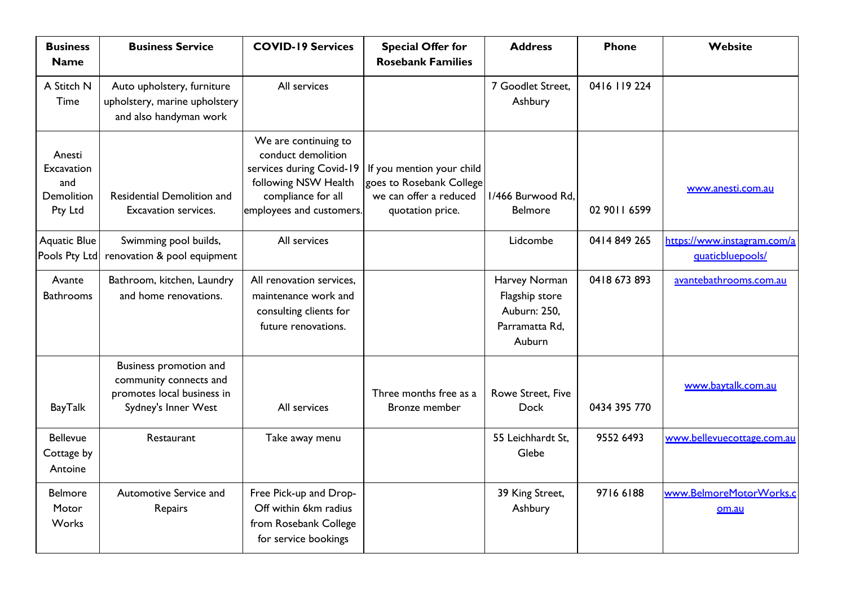| <b>Business</b><br><b>Name</b>                       | <b>Business Service</b>                                                                               | <b>COVID-19 Services</b>                                                                                                                         | <b>Special Offer for</b><br><b>Rosebank Families</b>                                                | <b>Address</b>                                                              | <b>Phone</b> | Website                                         |
|------------------------------------------------------|-------------------------------------------------------------------------------------------------------|--------------------------------------------------------------------------------------------------------------------------------------------------|-----------------------------------------------------------------------------------------------------|-----------------------------------------------------------------------------|--------------|-------------------------------------------------|
| A Stitch N<br><b>Time</b>                            | Auto upholstery, furniture<br>upholstery, marine upholstery<br>and also handyman work                 | All services                                                                                                                                     |                                                                                                     | 7 Goodlet Street,<br>Ashbury                                                | 0416 119 224 |                                                 |
| Anesti<br>Excavation<br>and<br>Demolition<br>Pty Ltd | Residential Demolition and<br>Excavation services.                                                    | We are continuing to<br>conduct demolition<br>services during Covid-19<br>following NSW Health<br>compliance for all<br>employees and customers. | If you mention your child<br>goes to Rosebank College<br>we can offer a reduced<br>quotation price. | 1/466 Burwood Rd,<br><b>Belmore</b>                                         | 02 9011 6599 | www.anesti.com.au                               |
| <b>Aquatic Blue</b><br>Pools Pty Ltd                 | Swimming pool builds,<br>renovation & pool equipment                                                  | All services                                                                                                                                     |                                                                                                     | Lidcombe                                                                    | 0414 849 265 | https://www.instagram.com/a<br>quaticbluepools/ |
| Avante<br><b>Bathrooms</b>                           | Bathroom, kitchen, Laundry<br>and home renovations.                                                   | All renovation services,<br>maintenance work and<br>consulting clients for<br>future renovations.                                                |                                                                                                     | Harvey Norman<br>Flagship store<br>Auburn: 250,<br>Parramatta Rd,<br>Auburn | 0418 673 893 | avantebathrooms.com.au                          |
| <b>BayTalk</b>                                       | Business promotion and<br>community connects and<br>promotes local business in<br>Sydney's Inner West | All services                                                                                                                                     | Three months free as a<br>Bronze member                                                             | Rowe Street, Five<br><b>Dock</b>                                            | 0434 395 770 | www.baytalk.com.au                              |
| <b>Bellevue</b><br>Cottage by<br>Antoine             | Restaurant                                                                                            | Take away menu                                                                                                                                   |                                                                                                     | 55 Leichhardt St.<br>Glebe                                                  | 9552 6493    | www.bellevuecottage.com.au                      |
| <b>Belmore</b><br>Motor<br>Works                     | Automotive Service and<br>Repairs                                                                     | Free Pick-up and Drop-<br>Off within 6km radius<br>from Rosebank College<br>for service bookings                                                 |                                                                                                     | 39 King Street,<br>Ashbury                                                  | 97166188     | www.BelmoreMotorWorks.c<br>om.au                |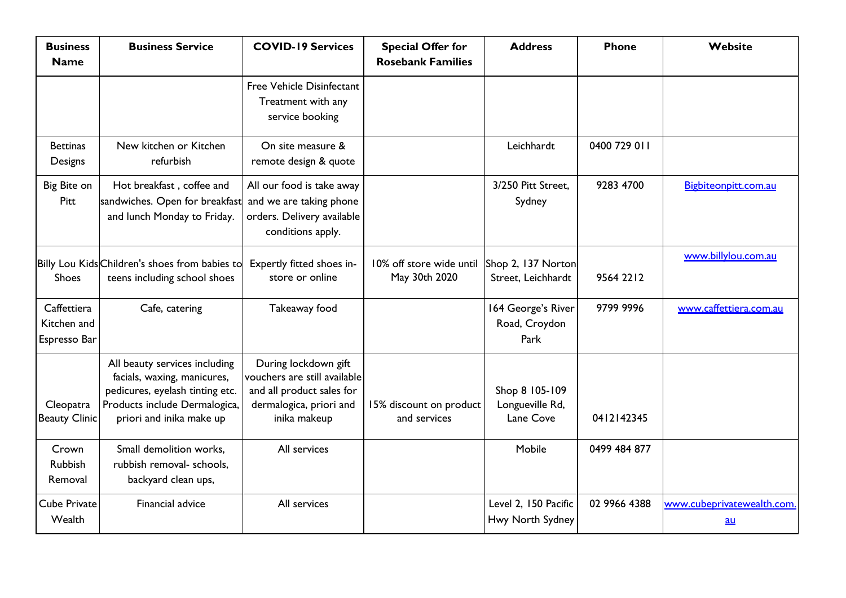| <b>Business</b><br><b>Name</b>             | <b>Business Service</b>                                                                                                                                      | <b>COVID-19 Services</b>                                                                                                     | <b>Special Offer for</b><br><b>Rosebank Families</b> | <b>Address</b>                                 | <b>Phone</b> | Website                            |
|--------------------------------------------|--------------------------------------------------------------------------------------------------------------------------------------------------------------|------------------------------------------------------------------------------------------------------------------------------|------------------------------------------------------|------------------------------------------------|--------------|------------------------------------|
|                                            |                                                                                                                                                              | Free Vehicle Disinfectant<br>Treatment with any<br>service booking                                                           |                                                      |                                                |              |                                    |
| <b>Bettinas</b><br>Designs                 | New kitchen or Kitchen<br>refurbish                                                                                                                          | On site measure &<br>remote design & quote                                                                                   |                                                      | Leichhardt                                     | 0400 729 011 |                                    |
| Big Bite on<br>Pitt                        | Hot breakfast, coffee and<br>sandwiches. Open for breakfast<br>and lunch Monday to Friday.                                                                   | All our food is take away<br>and we are taking phone<br>orders. Delivery available<br>conditions apply.                      |                                                      | 3/250 Pitt Street.<br>Sydney                   | 9283 4700    | Bigbiteonpitt.com.au               |
| <b>Shoes</b>                               | Billy Lou Kids Children's shoes from babies to<br>teens including school shoes                                                                               | Expertly fitted shoes in-<br>store or online                                                                                 | 10% off store wide until<br>May 30th 2020            | Shop 2, 137 Norton<br>Street, Leichhardt       | 9564 2212    | www.billylou.com.au                |
| Caffettiera<br>Kitchen and<br>Espresso Bar | Cafe, catering                                                                                                                                               | Takeaway food                                                                                                                |                                                      | 164 George's River<br>Road, Croydon<br>Park    | 9799 9996    | www.caffettiera.com.au             |
| Cleopatra<br><b>Beauty Clinic</b>          | All beauty services including<br>facials, waxing, manicures,<br>pedicures, eyelash tinting etc.<br>Products include Dermalogica,<br>priori and inika make up | During lockdown gift<br>vouchers are still available<br>and all product sales for<br>dermalogica, priori and<br>inika makeup | 15% discount on product<br>and services              | Shop 8 105-109<br>Longueville Rd,<br>Lane Cove | 0412142345   |                                    |
| Crown<br><b>Rubbish</b><br>Removal         | Small demolition works,<br>rubbish removal- schools,<br>backyard clean ups,                                                                                  | All services                                                                                                                 |                                                      | Mobile                                         | 0499 484 877 |                                    |
| <b>Cube Private</b><br>Wealth              | Financial advice                                                                                                                                             | All services                                                                                                                 |                                                      | Level 2, 150 Pacific<br>Hwy North Sydney       | 02 9966 4388 | www.cubeprivatewealth.com.<br>$au$ |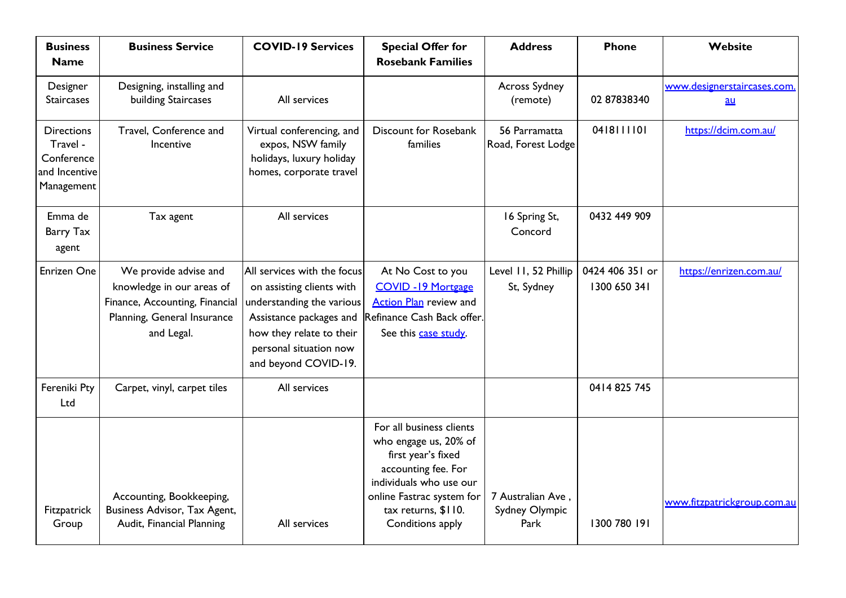| <b>Business</b><br><b>Name</b>                                             | <b>Business Service</b>                                                                                                           | <b>COVID-19 Services</b>                                                                                                                                                                       | <b>Special Offer for</b><br><b>Rosebank Families</b>                                                                                                                                              | <b>Address</b>                              | <b>Phone</b>                    | Website                                 |
|----------------------------------------------------------------------------|-----------------------------------------------------------------------------------------------------------------------------------|------------------------------------------------------------------------------------------------------------------------------------------------------------------------------------------------|---------------------------------------------------------------------------------------------------------------------------------------------------------------------------------------------------|---------------------------------------------|---------------------------------|-----------------------------------------|
| Designer<br><b>Staircases</b>                                              | Designing, installing and<br>building Staircases                                                                                  | All services                                                                                                                                                                                   |                                                                                                                                                                                                   | Across Sydney<br>(remote)                   | 02 87838340                     | www.designerstaircases.com<br><u>au</u> |
| <b>Directions</b><br>Travel -<br>Conference<br>and Incentive<br>Management | Travel, Conference and<br>Incentive                                                                                               | Virtual conferencing, and<br>expos, NSW family<br>holidays, luxury holiday<br>homes, corporate travel                                                                                          | Discount for Rosebank<br>families                                                                                                                                                                 | 56 Parramatta<br>Road, Forest Lodge         | 0418111101                      | https://dcim.com.au/                    |
| Emma de<br>Barry Tax<br>agent                                              | Tax agent                                                                                                                         | All services                                                                                                                                                                                   |                                                                                                                                                                                                   | 16 Spring St,<br>Concord                    | 0432 449 909                    |                                         |
| Enrizen One                                                                | We provide advise and<br>knowledge in our areas of<br>Finance, Accounting, Financial<br>Planning, General Insurance<br>and Legal. | All services with the focus<br>on assisting clients with<br>understanding the various<br>Assistance packages and<br>how they relate to their<br>personal situation now<br>and beyond COVID-19. | At No Cost to you<br><b>COVID -19 Mortgage</b><br><b>Action Plan</b> review and<br>Refinance Cash Back offer.<br>See this case study.                                                             | Level 11, 52 Phillip<br>St, Sydney          | 0424 406 351 or<br>1300 650 341 | https://enrizen.com.au/                 |
| Fereniki Pty<br>Ltd                                                        | Carpet, vinyl, carpet tiles                                                                                                       | All services                                                                                                                                                                                   |                                                                                                                                                                                                   |                                             | 0414 825 745                    |                                         |
| Fitzpatrick<br>Group                                                       | Accounting, Bookkeeping,<br>Business Advisor, Tax Agent,<br>Audit, Financial Planning                                             | All services                                                                                                                                                                                   | For all business clients<br>who engage us, 20% of<br>first year's fixed<br>accounting fee. For<br>individuals who use our<br>online Fastrac system for<br>tax returns, \$110.<br>Conditions apply | 7 Australian Ave,<br>Sydney Olympic<br>Park | 1300 780 191                    | www.fitzpatrickgroup.com.au             |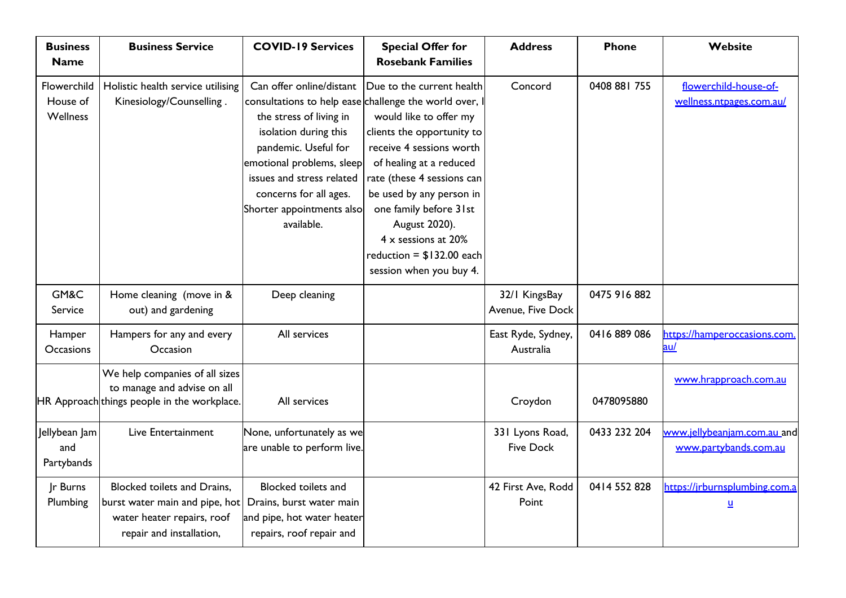| <b>Business</b><br><b>Name</b>             | <b>Business Service</b>                                                                                                        | <b>COVID-19 Services</b>                                                                                                                                                                                                                                                                      | <b>Special Offer for</b><br><b>Rosebank Families</b>                                                                                                                                                                                                                                                                          | <b>Address</b>                      | <b>Phone</b> | Website                                              |
|--------------------------------------------|--------------------------------------------------------------------------------------------------------------------------------|-----------------------------------------------------------------------------------------------------------------------------------------------------------------------------------------------------------------------------------------------------------------------------------------------|-------------------------------------------------------------------------------------------------------------------------------------------------------------------------------------------------------------------------------------------------------------------------------------------------------------------------------|-------------------------------------|--------------|------------------------------------------------------|
| Flowerchild<br>House of<br><b>Wellness</b> | Holistic health service utilising<br>Kinesiology/Counselling.                                                                  | Can offer online/distant<br>consultations to help ease challenge the world over, I<br>the stress of living in<br>isolation during this<br>pandemic. Useful for<br>emotional problems, sleep<br>issues and stress related<br>concerns for all ages.<br>Shorter appointments also<br>available. | Due to the current health<br>would like to offer my<br>clients the opportunity to<br>receive 4 sessions worth<br>of healing at a reduced<br>rate (these 4 sessions can<br>be used by any person in<br>one family before 31st<br>August 2020).<br>4 x sessions at 20%<br>reduction = $$132.00$ each<br>session when you buy 4. | Concord                             | 0408 881 755 | flowerchild-house-of-<br>wellness.ntpages.com.au/    |
| GM&C<br>Service                            | Home cleaning (move in &<br>out) and gardening                                                                                 | Deep cleaning                                                                                                                                                                                                                                                                                 |                                                                                                                                                                                                                                                                                                                               | 32/1 KingsBay<br>Avenue, Five Dock  | 0475 916 882 |                                                      |
| Hamper<br><b>Occasions</b>                 | Hampers for any and every<br>Occasion                                                                                          | All services                                                                                                                                                                                                                                                                                  |                                                                                                                                                                                                                                                                                                                               | East Ryde, Sydney,<br>Australia     | 0416 889 086 | https://hamperoccasions.com<br><u>au/</u>            |
|                                            | We help companies of all sizes<br>to manage and advise on all<br>HR Approach things people in the workplace.                   | All services                                                                                                                                                                                                                                                                                  |                                                                                                                                                                                                                                                                                                                               | Croydon                             | 0478095880   | www.hrapproach.com.au                                |
| Jellybean Jam<br>and<br>Partybands         | Live Entertainment                                                                                                             | None, unfortunately as we<br>are unable to perform live.                                                                                                                                                                                                                                      |                                                                                                                                                                                                                                                                                                                               | 331 Lyons Road,<br><b>Five Dock</b> | 0433 232 204 | www.jellybeanjam.com.au_and<br>www.partybands.com.au |
| Jr Burns<br>Plumbing                       | <b>Blocked toilets and Drains,</b><br>burst water main and pipe, hot<br>water heater repairs, roof<br>repair and installation, | Blocked toilets and<br>Drains, burst water main<br>and pipe, hot water heater<br>repairs, roof repair and                                                                                                                                                                                     |                                                                                                                                                                                                                                                                                                                               | 42 First Ave, Rodd<br>Point         | 0414 552 828 | https://jrburnsplumbing.com.a<br><u>u</u>            |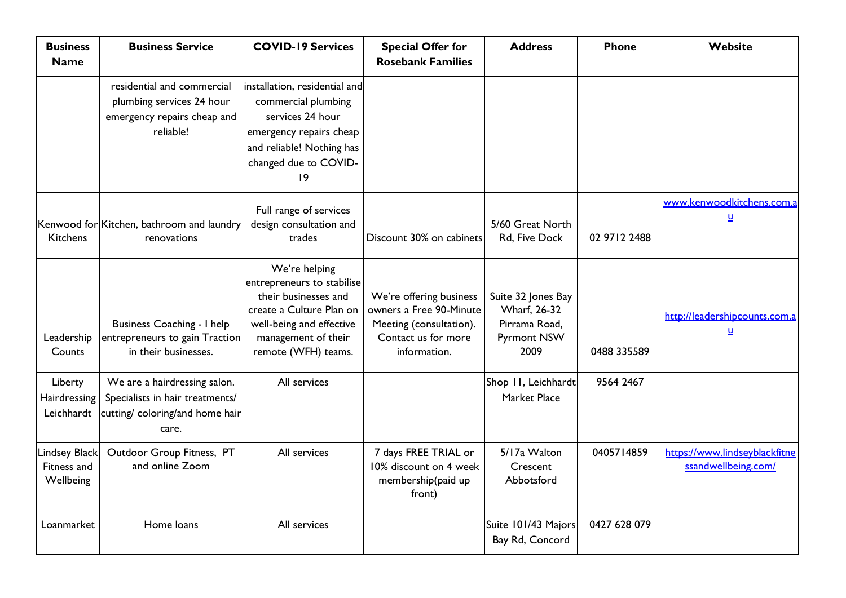| <b>Business</b><br><b>Name</b>            | <b>Business Service</b>                                                                                     | <b>COVID-19 Services</b>                                                                                                                                                  | <b>Special Offer for</b><br><b>Rosebank Families</b>                                                                 | <b>Address</b>                                                                            | <b>Phone</b> | Website                                               |
|-------------------------------------------|-------------------------------------------------------------------------------------------------------------|---------------------------------------------------------------------------------------------------------------------------------------------------------------------------|----------------------------------------------------------------------------------------------------------------------|-------------------------------------------------------------------------------------------|--------------|-------------------------------------------------------|
|                                           | residential and commercial<br>plumbing services 24 hour<br>emergency repairs cheap and<br>reliable!         | installation, residential and<br>commercial plumbing<br>services 24 hour<br>emergency repairs cheap<br>and reliable! Nothing has<br>changed due to COVID-<br> 9           |                                                                                                                      |                                                                                           |              |                                                       |
| <b>Kitchens</b>                           | Kenwood for Kitchen, bathroom and laundry<br>renovations                                                    | Full range of services<br>design consultation and<br>trades                                                                                                               | Discount 30% on cabinets                                                                                             | 5/60 Great North<br>Rd, Five Dock                                                         | 02 9712 2488 | www.kenwoodkitchens.com.a<br>$\underline{\mathsf{u}}$ |
| Leadership<br>Counts                      | Business Coaching - I help<br>entrepreneurs to gain Traction<br>in their businesses.                        | We're helping<br>entrepreneurs to stabilise<br>their businesses and<br>create a Culture Plan on<br>well-being and effective<br>management of their<br>remote (WFH) teams. | We're offering business<br>owners a Free 90-Minute<br>Meeting (consultation).<br>Contact us for more<br>information. | Suite 32 Jones Bay<br><b>Wharf</b> , 26-32<br>Pirrama Road,<br><b>Pyrmont NSW</b><br>2009 | 0488 335589  | http://leadershipcounts.com.a<br><u>u</u>             |
| Liberty<br>Hairdressing<br>Leichhardt     | We are a hairdressing salon.<br>Specialists in hair treatments/<br>cutting/ coloring/and home hair<br>care. | All services                                                                                                                                                              |                                                                                                                      | Shop 11, Leichhardt<br>Market Place                                                       | 9564 2467    |                                                       |
| Lindsey Black<br>Fitness and<br>Wellbeing | Outdoor Group Fitness, PT<br>and online Zoom                                                                | All services                                                                                                                                                              | 7 days FREE TRIAL or<br>10% discount on 4 week<br>membership(paid up<br>front)                                       | 5/17a Walton<br>Crescent<br>Abbotsford                                                    | 0405714859   | https://www.lindseyblackfitne<br>ssandwellbeing.com/  |
| Loanmarket                                | Home loans                                                                                                  | All services                                                                                                                                                              |                                                                                                                      | Suite 101/43 Majors<br>Bay Rd, Concord                                                    | 0427 628 079 |                                                       |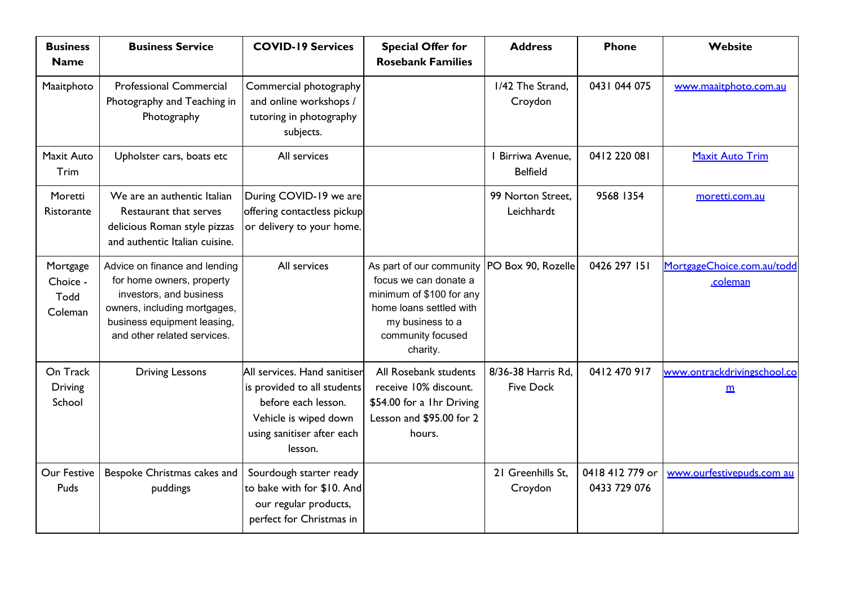| <b>Business</b><br><b>Name</b>          | <b>Business Service</b>                                                                                                                                                             | <b>COVID-19 Services</b>                                                                                                                             | <b>Special Offer for</b><br><b>Rosebank Families</b>                                                                                                                               | <b>Address</b>                         | <b>Phone</b>                    | Website                                        |
|-----------------------------------------|-------------------------------------------------------------------------------------------------------------------------------------------------------------------------------------|------------------------------------------------------------------------------------------------------------------------------------------------------|------------------------------------------------------------------------------------------------------------------------------------------------------------------------------------|----------------------------------------|---------------------------------|------------------------------------------------|
| Maaitphoto                              | <b>Professional Commercial</b><br>Photography and Teaching in<br>Photography                                                                                                        | Commercial photography<br>and online workshops /<br>tutoring in photography<br>subjects.                                                             |                                                                                                                                                                                    | 1/42 The Strand,<br>Croydon            | 0431 044 075                    | www.maaitphoto.com.au                          |
| Maxit Auto<br>Trim                      | Upholster cars, boats etc                                                                                                                                                           | All services                                                                                                                                         |                                                                                                                                                                                    | Birriwa Avenue.<br><b>Belfield</b>     | 0412 220 081                    | <b>Maxit Auto Trim</b>                         |
| Moretti<br>Ristorante                   | We are an authentic Italian<br>Restaurant that serves<br>delicious Roman style pizzas<br>and authentic Italian cuisine.                                                             | During COVID-19 we are<br>offering contactless pickup<br>or delivery to your home.                                                                   |                                                                                                                                                                                    | 99 Norton Street.<br>Leichhardt        | 9568 1354                       | moretti.com.au                                 |
| Mortgage<br>Choice -<br>Todd<br>Coleman | Advice on finance and lending<br>for home owners, property<br>investors, and business<br>owners, including mortgages,<br>business equipment leasing,<br>and other related services. | All services                                                                                                                                         | As part of our community   PO Box 90, Rozelle<br>focus we can donate a<br>minimum of \$100 for any<br>home loans settled with<br>my business to a<br>community focused<br>charity. |                                        | 0426 297 151                    | MortgageChoice.com.au/todd<br>coleman          |
| On Track<br><b>Driving</b><br>School    | <b>Driving Lessons</b>                                                                                                                                                              | All services. Hand sanitiser<br>is provided to all students<br>before each lesson.<br>Vehicle is wiped down<br>using sanitiser after each<br>lesson. | All Rosebank students<br>receive 10% discount.<br>\$54.00 for a 1hr Driving<br>Lesson and \$95.00 for 2<br>hours.                                                                  | 8/36-38 Harris Rd,<br><b>Five Dock</b> | 0412 470 917                    | www.ontrackdrivingschool.co<br>$\underline{m}$ |
| Our Festive<br>Puds                     | Bespoke Christmas cakes and<br>puddings                                                                                                                                             | Sourdough starter ready<br>to bake with for \$10. And<br>our regular products,<br>perfect for Christmas in                                           |                                                                                                                                                                                    | 21 Greenhills St.<br>Croydon           | 0418 412 779 or<br>0433 729 076 | www.ourfestivepuds.com au                      |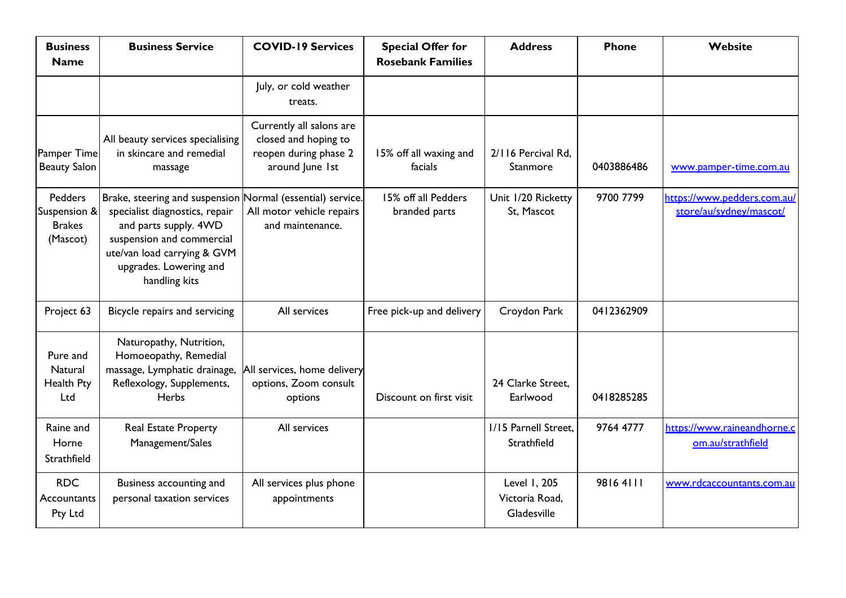| <b>Business</b><br><b>Name</b>                              | <b>Business Service</b>                                                                                                                                                                                                      | <b>COVID-19 Services</b>                                                                     | <b>Special Offer for</b><br><b>Rosebank Families</b> | <b>Address</b>                                | <b>Phone</b> | Website                                                |
|-------------------------------------------------------------|------------------------------------------------------------------------------------------------------------------------------------------------------------------------------------------------------------------------------|----------------------------------------------------------------------------------------------|------------------------------------------------------|-----------------------------------------------|--------------|--------------------------------------------------------|
|                                                             |                                                                                                                                                                                                                              | July, or cold weather<br>treats.                                                             |                                                      |                                               |              |                                                        |
| Pamper Time<br><b>Beauty Salon</b>                          | All beauty services specialising<br>in skincare and remedial<br>massage                                                                                                                                                      | Currently all salons are<br>closed and hoping to<br>reopen during phase 2<br>around June 1st | 15% off all waxing and<br>facials                    | 2/116 Percival Rd,<br>Stanmore                | 0403886486   | www.pamper-time.com.au                                 |
| <b>Pedders</b><br>Suspension &<br><b>Brakes</b><br>(Mascot) | Brake, steering and suspension Normal (essential) service.<br>specialist diagnostics, repair<br>and parts supply. 4WD<br>suspension and commercial<br>ute/van load carrying & GVM<br>upgrades. Lowering and<br>handling kits | All motor vehicle repairs<br>and maintenance.                                                | 15% off all Pedders<br>branded parts                 | Unit 1/20 Ricketty<br>St, Mascot              | 9700 7799    | https://www.pedders.com.au/<br>store/au/sydney/mascot/ |
| Project 63                                                  | Bicycle repairs and servicing                                                                                                                                                                                                | All services                                                                                 | Free pick-up and delivery                            | Croydon Park                                  | 0412362909   |                                                        |
| Pure and<br>Natural<br>Health Pty<br>Ltd                    | Naturopathy, Nutrition,<br>Homoeopathy, Remedial<br>massage, Lymphatic drainage,<br>Reflexology, Supplements,<br><b>Herbs</b>                                                                                                | All services, home delivery<br>options, Zoom consult<br>options                              | Discount on first visit                              | 24 Clarke Street.<br>Earlwood                 | 0418285285   |                                                        |
| Raine and<br>Horne<br>Strathfield                           | Real Estate Property<br>Management/Sales                                                                                                                                                                                     | All services                                                                                 |                                                      | I/15 Parnell Street.<br>Strathfield           | 9764 4777    | https://www.raineandhorne.c<br>om.au/strathfield       |
| <b>RDC</b><br>Accountants<br>Pty Ltd                        | Business accounting and<br>personal taxation services                                                                                                                                                                        | All services plus phone<br>appointments                                                      |                                                      | Level 1, 205<br>Victoria Road,<br>Gladesville | 98164111     | www.rdcaccountants.com.au                              |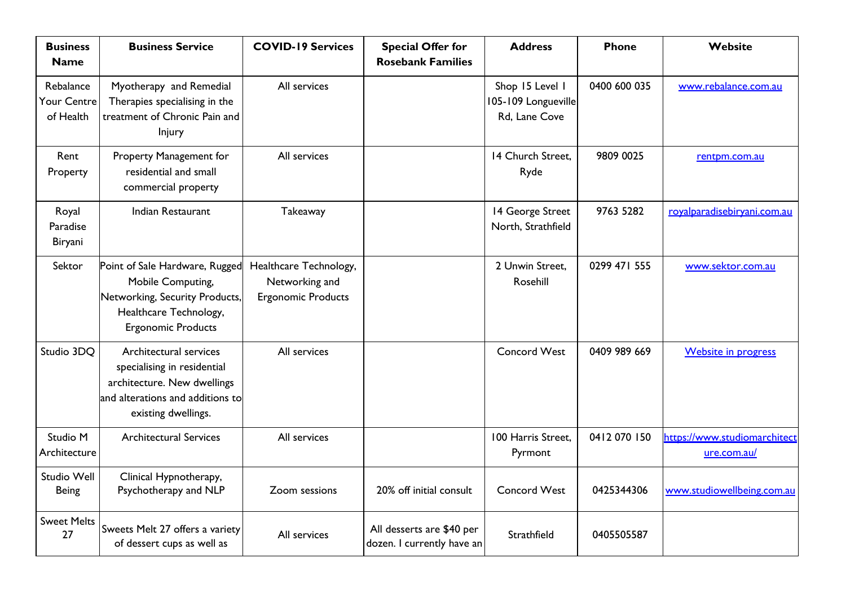| <b>Business</b><br><b>Name</b>        | <b>Business Service</b>                                                                                                                         | <b>COVID-19 Services</b>                                              | <b>Special Offer for</b><br><b>Rosebank Families</b>    | <b>Address</b>                                          | <b>Phone</b> | Website                                     |
|---------------------------------------|-------------------------------------------------------------------------------------------------------------------------------------------------|-----------------------------------------------------------------------|---------------------------------------------------------|---------------------------------------------------------|--------------|---------------------------------------------|
| Rebalance<br>Your Centre<br>of Health | Myotherapy and Remedial<br>Therapies specialising in the<br>treatment of Chronic Pain and<br>Injury                                             | All services                                                          |                                                         | Shop 15 Level I<br>105-109 Longueville<br>Rd, Lane Cove | 0400 600 035 | www.rebalance.com.au                        |
| Rent<br>Property                      | Property Management for<br>residential and small<br>commercial property                                                                         | All services                                                          |                                                         | 14 Church Street,<br>Ryde                               | 9809 0025    | rentpm.com.au                               |
| Royal<br>Paradise<br>Biryani          | Indian Restaurant                                                                                                                               | Takeaway                                                              |                                                         | 14 George Street<br>North, Strathfield                  | 9763 5282    | royalparadisebiryani.com.au                 |
| Sektor                                | Point of Sale Hardware, Rugged<br>Mobile Computing,<br>Networking, Security Products,<br>Healthcare Technology,<br><b>Ergonomic Products</b>    | Healthcare Technology,<br>Networking and<br><b>Ergonomic Products</b> |                                                         | 2 Unwin Street.<br>Rosehill                             | 0299 471 555 | www.sektor.com.au                           |
| Studio 3DQ                            | Architectural services<br>specialising in residential<br>architecture. New dwellings<br>and alterations and additions to<br>existing dwellings. | All services                                                          |                                                         | <b>Concord West</b>                                     | 0409 989 669 | <b>Website in progress</b>                  |
| Studio M<br>Architecture              | <b>Architectural Services</b>                                                                                                                   | All services                                                          |                                                         | 100 Harris Street.<br>Pyrmont                           | 0412 070 150 | https://www.studiomarchitect<br>ure.com.au/ |
| Studio Well<br><b>Being</b>           | Clinical Hypnotherapy,<br>Psychotherapy and NLP                                                                                                 | Zoom sessions                                                         | 20% off initial consult                                 | <b>Concord West</b>                                     | 0425344306   | www.studiowellbeing.com.au                  |
| <b>Sweet Melts</b><br>27              | Sweets Melt 27 offers a variety<br>of dessert cups as well as                                                                                   | All services                                                          | All desserts are \$40 per<br>dozen. I currently have an | Strathfield                                             | 0405505587   |                                             |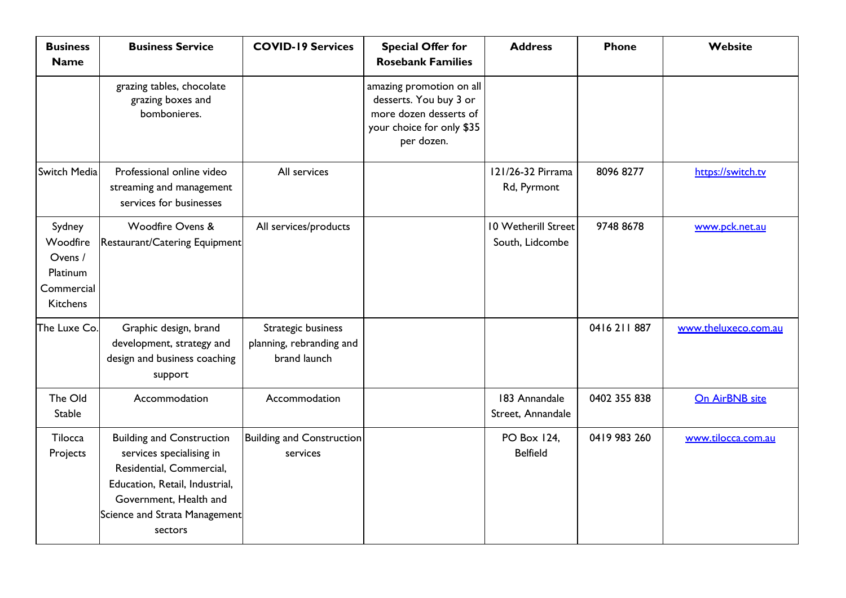| <b>Business</b><br><b>Name</b>                                             | <b>Business Service</b>                                                                                                                                                                          | <b>COVID-19 Services</b>                                       | <b>Special Offer for</b><br><b>Rosebank Families</b>                                                                    | <b>Address</b>                                | <b>Phone</b> | Website              |
|----------------------------------------------------------------------------|--------------------------------------------------------------------------------------------------------------------------------------------------------------------------------------------------|----------------------------------------------------------------|-------------------------------------------------------------------------------------------------------------------------|-----------------------------------------------|--------------|----------------------|
|                                                                            | grazing tables, chocolate<br>grazing boxes and<br>bombonieres.                                                                                                                                   |                                                                | amazing promotion on all<br>desserts. You buy 3 or<br>more dozen desserts of<br>your choice for only \$35<br>per dozen. |                                               |              |                      |
| Switch Media                                                               | Professional online video<br>streaming and management<br>services for businesses                                                                                                                 | All services                                                   |                                                                                                                         | 121/26-32 Pirrama<br>Rd, Pyrmont              | 8096 8277    | https://switch.tv    |
| Sydney<br>Woodfire<br>Ovens /<br>Platinum<br>Commercial<br><b>Kitchens</b> | Woodfire Ovens &<br>Restaurant/Catering Equipment                                                                                                                                                | All services/products                                          |                                                                                                                         | <b>10 Wetherill Street</b><br>South, Lidcombe | 9748 8678    | www.pck.net.au       |
| The Luxe Co.                                                               | Graphic design, brand<br>development, strategy and<br>design and business coaching<br>support                                                                                                    | Strategic business<br>planning, rebranding and<br>brand launch |                                                                                                                         |                                               | 0416 211 887 | www.theluxeco.com.au |
| The Old<br><b>Stable</b>                                                   | Accommodation                                                                                                                                                                                    | Accommodation                                                  |                                                                                                                         | 183 Annandale<br>Street, Annandale            | 0402 355 838 | On AirBNB site       |
| Tilocca<br>Projects                                                        | <b>Building and Construction</b><br>services specialising in<br>Residential, Commercial,<br>Education, Retail, Industrial,<br>Government, Health and<br>Science and Strata Management<br>sectors | <b>Building and Construction</b><br>services                   |                                                                                                                         | <b>PO Box 124,</b><br><b>Belfield</b>         | 0419 983 260 | www.tilocca.com.au   |